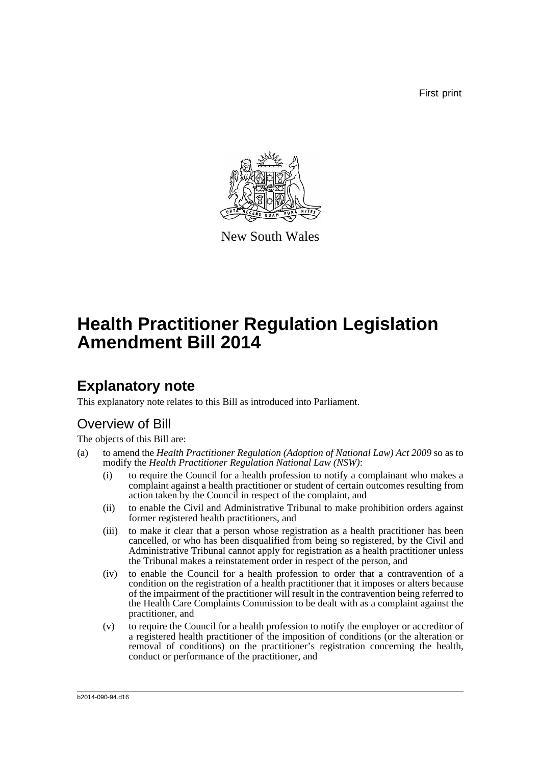First print



New South Wales

# **Health Practitioner Regulation Legislation Amendment Bill 2014**

## **Explanatory note**

This explanatory note relates to this Bill as introduced into Parliament.

## Overview of Bill

The objects of this Bill are:

- (a) to amend the *Health Practitioner Regulation (Adoption of National Law) Act 2009* so as to modify the *Health Practitioner Regulation National Law (NSW)*:
	- (i) to require the Council for a health profession to notify a complainant who makes a complaint against a health practitioner or student of certain outcomes resulting from action taken by the Council in respect of the complaint, and
	- (ii) to enable the Civil and Administrative Tribunal to make prohibition orders against former registered health practitioners, and
	- (iii) to make it clear that a person whose registration as a health practitioner has been cancelled, or who has been disqualified from being so registered, by the Civil and Administrative Tribunal cannot apply for registration as a health practitioner unless the Tribunal makes a reinstatement order in respect of the person, and
	- (iv) to enable the Council for a health profession to order that a contravention of a condition on the registration of a health practitioner that it imposes or alters because of the impairment of the practitioner will result in the contravention being referred to the Health Care Complaints Commission to be dealt with as a complaint against the practitioner, and
	- (v) to require the Council for a health profession to notify the employer or accreditor of a registered health practitioner of the imposition of conditions (or the alteration or removal of conditions) on the practitioner's registration concerning the health, conduct or performance of the practitioner, and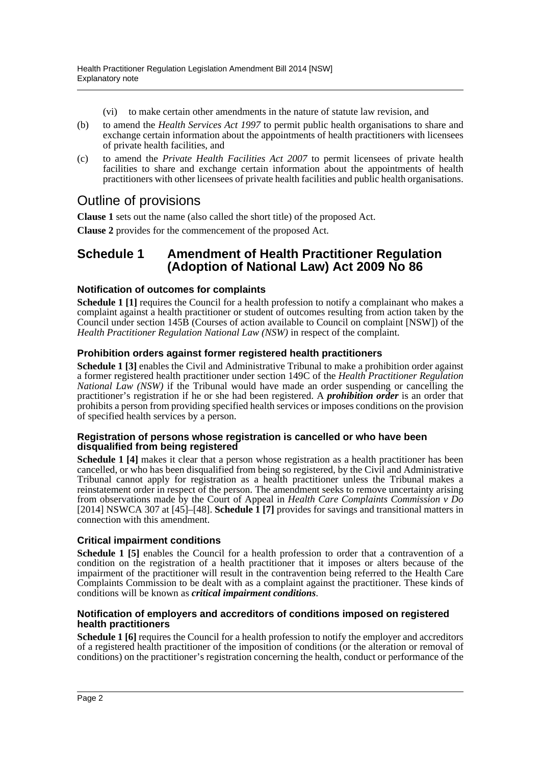- (vi) to make certain other amendments in the nature of statute law revision, and
- (b) to amend the *Health Services Act 1997* to permit public health organisations to share and exchange certain information about the appointments of health practitioners with licensees of private health facilities, and
- (c) to amend the *Private Health Facilities Act 2007* to permit licensees of private health facilities to share and exchange certain information about the appointments of health practitioners with other licensees of private health facilities and public health organisations.

## Outline of provisions

**Clause 1** sets out the name (also called the short title) of the proposed Act.

**Clause 2** provides for the commencement of the proposed Act.

### **Schedule 1 Amendment of Health Practitioner Regulation (Adoption of National Law) Act 2009 No 86**

### **Notification of outcomes for complaints**

**Schedule 1 [1]** requires the Council for a health profession to notify a complainant who makes a complaint against a health practitioner or student of outcomes resulting from action taken by the Council under section 145B (Courses of action available to Council on complaint [NSW]) of the *Health Practitioner Regulation National Law (NSW)* in respect of the complaint.

### **Prohibition orders against former registered health practitioners**

**Schedule 1 [3]** enables the Civil and Administrative Tribunal to make a prohibition order against a former registered health practitioner under section 149C of the *Health Practitioner Regulation National Law (NSW)* if the Tribunal would have made an order suspending or cancelling the practitioner's registration if he or she had been registered. A *prohibition order* is an order that prohibits a person from providing specified health services or imposes conditions on the provision of specified health services by a person.

#### **Registration of persons whose registration is cancelled or who have been disqualified from being registered**

**Schedule 1 [4]** makes it clear that a person whose registration as a health practitioner has been cancelled, or who has been disqualified from being so registered, by the Civil and Administrative Tribunal cannot apply for registration as a health practitioner unless the Tribunal makes a reinstatement order in respect of the person. The amendment seeks to remove uncertainty arising from observations made by the Court of Appeal in *Health Care Complaints Commission v Do* [2014] NSWCA 307 at [45]–[48]. **Schedule 1 [7]** provides for savings and transitional matters in connection with this amendment.

### **Critical impairment conditions**

**Schedule 1 [5]** enables the Council for a health profession to order that a contravention of a condition on the registration of a health practitioner that it imposes or alters because of the impairment of the practitioner will result in the contravention being referred to the Health Care Complaints Commission to be dealt with as a complaint against the practitioner. These kinds of conditions will be known as *critical impairment conditions*.

### **Notification of employers and accreditors of conditions imposed on registered health practitioners**

**Schedule 1 [6]** requires the Council for a health profession to notify the employer and accreditors of a registered health practitioner of the imposition of conditions (or the alteration or removal of conditions) on the practitioner's registration concerning the health, conduct or performance of the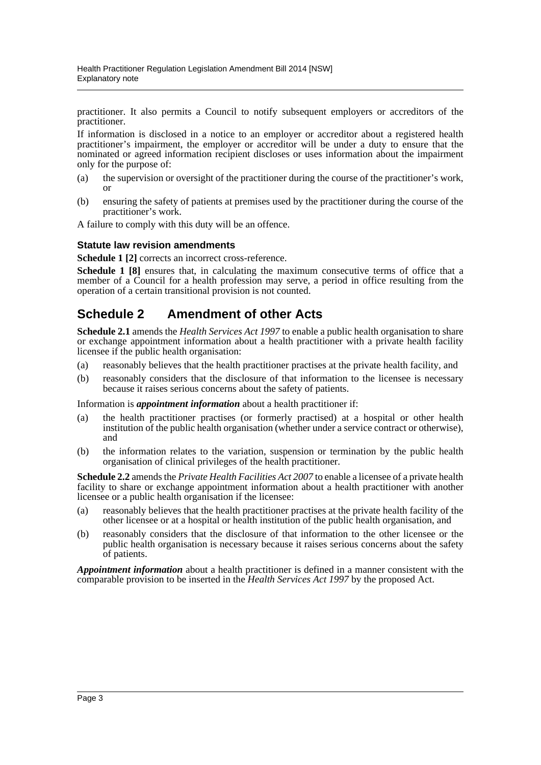practitioner. It also permits a Council to notify subsequent employers or accreditors of the practitioner.

If information is disclosed in a notice to an employer or accreditor about a registered health practitioner's impairment, the employer or accreditor will be under a duty to ensure that the nominated or agreed information recipient discloses or uses information about the impairment only for the purpose of:

- (a) the supervision or oversight of the practitioner during the course of the practitioner's work, or
- (b) ensuring the safety of patients at premises used by the practitioner during the course of the practitioner's work.

A failure to comply with this duty will be an offence.

### **Statute law revision amendments**

**Schedule 1 [2]** corrects an incorrect cross-reference.

**Schedule 1 [8]** ensures that, in calculating the maximum consecutive terms of office that a member of a Council for a health profession may serve, a period in office resulting from the operation of a certain transitional provision is not counted.

## **Schedule 2 Amendment of other Acts**

**Schedule 2.1** amends the *Health Services Act 1997* to enable a public health organisation to share or exchange appointment information about a health practitioner with a private health facility licensee if the public health organisation:

- (a) reasonably believes that the health practitioner practises at the private health facility, and
- (b) reasonably considers that the disclosure of that information to the licensee is necessary because it raises serious concerns about the safety of patients.

Information is *appointment information* about a health practitioner if:

- (a) the health practitioner practises (or formerly practised) at a hospital or other health institution of the public health organisation (whether under a service contract or otherwise), and
- (b) the information relates to the variation, suspension or termination by the public health organisation of clinical privileges of the health practitioner.

**Schedule 2.2** amends the *Private Health Facilities Act 2007* to enable a licensee of a private health facility to share or exchange appointment information about a health practitioner with another licensee or a public health organisation if the licensee:

- (a) reasonably believes that the health practitioner practises at the private health facility of the other licensee or at a hospital or health institution of the public health organisation, and
- (b) reasonably considers that the disclosure of that information to the other licensee or the public health organisation is necessary because it raises serious concerns about the safety of patients.

*Appointment information* about a health practitioner is defined in a manner consistent with the comparable provision to be inserted in the *Health Services Act 1997* by the proposed Act.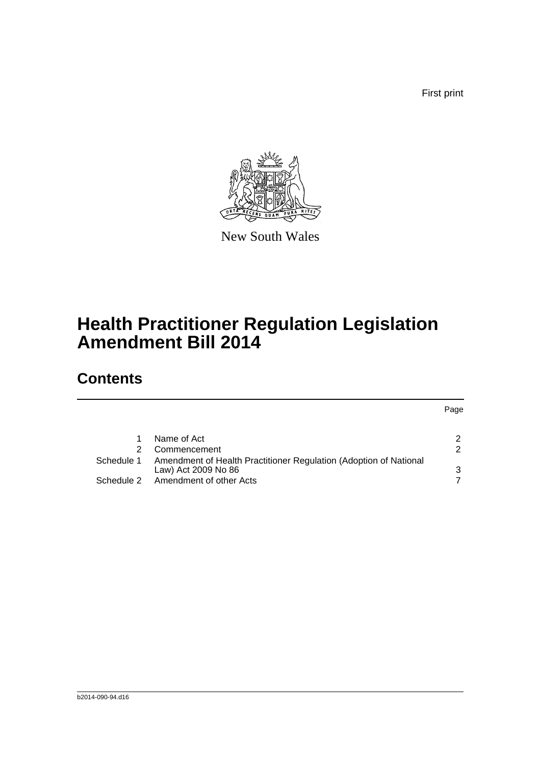First print

Page



New South Wales

# **Health Practitioner Regulation Legislation Amendment Bill 2014**

## **Contents**

|            | Name of Act                                                                              | 2 |
|------------|------------------------------------------------------------------------------------------|---|
|            | Commencement                                                                             | 2 |
| Schedule 1 | Amendment of Health Practitioner Regulation (Adoption of National<br>Law) Act 2009 No 86 | 3 |
| Schedule 2 | Amendment of other Acts                                                                  |   |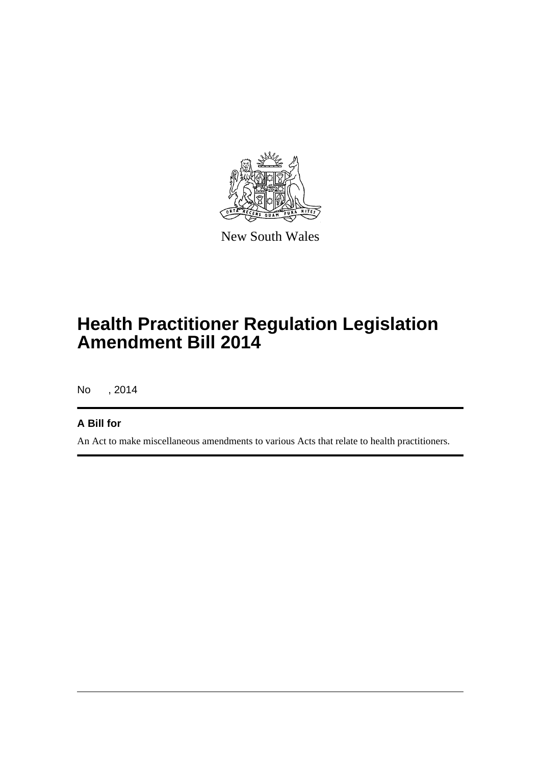

New South Wales

# **Health Practitioner Regulation Legislation Amendment Bill 2014**

No , 2014

### **A Bill for**

An Act to make miscellaneous amendments to various Acts that relate to health practitioners.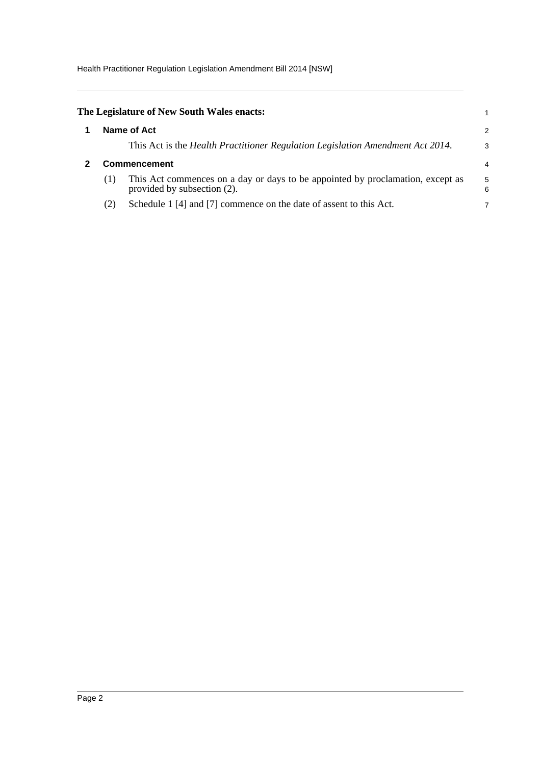Health Practitioner Regulation Legislation Amendment Bill 2014 [NSW]

<span id="page-5-1"></span><span id="page-5-0"></span>

|                     | The Legislature of New South Wales enacts:                                                                    |        |
|---------------------|---------------------------------------------------------------------------------------------------------------|--------|
| Name of Act         |                                                                                                               |        |
|                     | This Act is the <i>Health Practitioner Regulation Legislation Amendment Act 2014</i> .                        | 3      |
| <b>Commencement</b> |                                                                                                               |        |
| (1)                 | This Act commences on a day or days to be appointed by proclamation, except as<br>provided by subsection (2). | 5<br>6 |
| (2)                 | Schedule 1 [4] and [7] commence on the date of assent to this Act.                                            |        |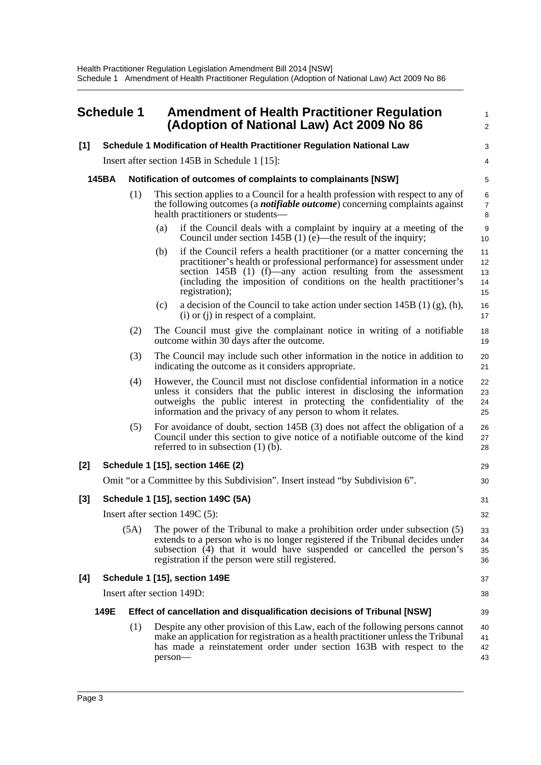# <span id="page-6-0"></span>**Schedule 1 Amendment of Health Practitioner Regulation (Adoption of National Law) Act 2009 No 86**

# **[1] Schedule 1 Modification of Health Practitioner Regulation National Law**

Insert after section 145B in Schedule 1 [15]:

### **145BA Notification of outcomes of complaints to complainants [NSW]**

- (1) This section applies to a Council for a health profession with respect to any of the following outcomes (a *notifiable outcome*) concerning complaints against health practitioners or students—
	- (a) if the Council deals with a complaint by inquiry at a meeting of the Council under section 145B (1) (e)—the result of the inquiry;

1  $\mathcal{L}$ 

> 3 4

16 17

20 21

29 30

31 32

37 38

39

- (b) if the Council refers a health practitioner (or a matter concerning the practitioner's health or professional performance) for assessment under section 145B (1) (f)—any action resulting from the assessment (including the imposition of conditions on the health practitioner's registration); 11 12 13 14 15
- (c) a decision of the Council to take action under section 145B (1) (g), (h), (i) or (j) in respect of a complaint.
- (2) The Council must give the complainant notice in writing of a notifiable outcome within 30 days after the outcome. 18 19
- (3) The Council may include such other information in the notice in addition to indicating the outcome as it considers appropriate.
- (4) However, the Council must not disclose confidential information in a notice unless it considers that the public interest in disclosing the information outweighs the public interest in protecting the confidentiality of the information and the privacy of any person to whom it relates. 22 23 24 25
- (5) For avoidance of doubt, section 145B (3) does not affect the obligation of a Council under this section to give notice of a notifiable outcome of the kind referred to in subsection (1) (b). 26 27 28

### **[2] Schedule 1 [15], section 146E (2)**

Omit "or a Committee by this Subdivision". Insert instead "by Subdivision 6".

### **[3] Schedule 1 [15], section 149C (5A)**

Insert after section 149C (5):

(5A) The power of the Tribunal to make a prohibition order under subsection (5) extends to a person who is no longer registered if the Tribunal decides under subsection (4) that it would have suspended or cancelled the person's registration if the person were still registered. 33 34 35 36

### **[4] Schedule 1 [15], section 149E**

Insert after section 149D:

#### **149E Effect of cancellation and disqualification decisions of Tribunal [NSW]**

(1) Despite any other provision of this Law, each of the following persons cannot make an application for registration as a health practitioner unless the Tribunal has made a reinstatement order under section 163B with respect to the person— 40 41 42 43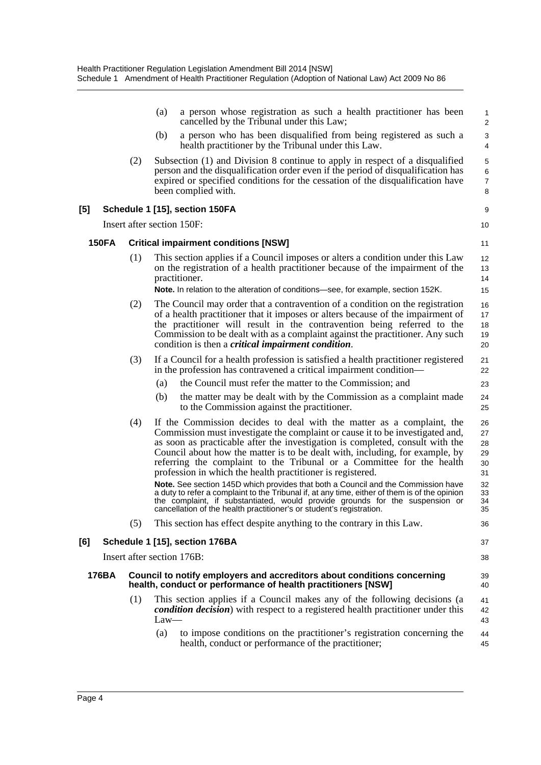|              |     | a person whose registration as such a health practitioner has been<br>(a)<br>cancelled by the Tribunal under this Law;                                                                                                                                                                                                                                                                                                                                                                                                                                                                                                                                                                                                               | $\mathbf{1}$<br>$\overline{c}$                     |
|--------------|-----|--------------------------------------------------------------------------------------------------------------------------------------------------------------------------------------------------------------------------------------------------------------------------------------------------------------------------------------------------------------------------------------------------------------------------------------------------------------------------------------------------------------------------------------------------------------------------------------------------------------------------------------------------------------------------------------------------------------------------------------|----------------------------------------------------|
|              |     | a person who has been disqualified from being registered as such a<br>(b)<br>health practitioner by the Tribunal under this Law.                                                                                                                                                                                                                                                                                                                                                                                                                                                                                                                                                                                                     | 3<br>4                                             |
|              | (2) | Subsection (1) and Division 8 continue to apply in respect of a disqualified<br>person and the disqualification order even if the period of disqualification has<br>expired or specified conditions for the cessation of the disqualification have<br>been complied with.                                                                                                                                                                                                                                                                                                                                                                                                                                                            | $\mathbf 5$<br>$\,6\,$<br>$\overline{7}$<br>8      |
| [5]          |     | Schedule 1 [15], section 150FA                                                                                                                                                                                                                                                                                                                                                                                                                                                                                                                                                                                                                                                                                                       | 9                                                  |
|              |     | Insert after section 150F:                                                                                                                                                                                                                                                                                                                                                                                                                                                                                                                                                                                                                                                                                                           | 10                                                 |
| <b>150FA</b> |     | <b>Critical impairment conditions [NSW]</b>                                                                                                                                                                                                                                                                                                                                                                                                                                                                                                                                                                                                                                                                                          | 11                                                 |
|              | (1) | This section applies if a Council imposes or alters a condition under this Law<br>on the registration of a health practitioner because of the impairment of the<br>practitioner.                                                                                                                                                                                                                                                                                                                                                                                                                                                                                                                                                     | 12<br>13<br>14                                     |
|              |     | Note. In relation to the alteration of conditions-see, for example, section 152K.                                                                                                                                                                                                                                                                                                                                                                                                                                                                                                                                                                                                                                                    | 15                                                 |
|              | (2) | The Council may order that a contravention of a condition on the registration<br>of a health practitioner that it imposes or alters because of the impairment of<br>the practitioner will result in the contravention being referred to the<br>Commission to be dealt with as a complaint against the practitioner. Any such<br>condition is then a <i>critical impairment condition</i> .                                                                                                                                                                                                                                                                                                                                           | 16<br>17<br>18<br>19<br>20                         |
|              | (3) | If a Council for a health profession is satisfied a health practitioner registered<br>in the profession has contravened a critical impairment condition-                                                                                                                                                                                                                                                                                                                                                                                                                                                                                                                                                                             | 21<br>22                                           |
|              |     | the Council must refer the matter to the Commission; and<br>(a)                                                                                                                                                                                                                                                                                                                                                                                                                                                                                                                                                                                                                                                                      | 23                                                 |
|              |     | the matter may be dealt with by the Commission as a complaint made<br>(b)<br>to the Commission against the practitioner.                                                                                                                                                                                                                                                                                                                                                                                                                                                                                                                                                                                                             | 24<br>25                                           |
|              | (4) | If the Commission decides to deal with the matter as a complaint, the<br>Commission must investigate the complaint or cause it to be investigated and,<br>as soon as practicable after the investigation is completed, consult with the<br>Council about how the matter is to be dealt with, including, for example, by<br>referring the complaint to the Tribunal or a Committee for the health<br>profession in which the health practitioner is registered.<br>Note. See section 145D which provides that both a Council and the Commission have<br>a duty to refer a complaint to the Tribunal if, at any time, either of them is of the opinion<br>the complaint, if substantiated, would provide grounds for the suspension or | 26<br>27<br>28<br>29<br>30<br>31<br>32<br>33<br>34 |
|              |     | cancellation of the health practitioner's or student's registration.                                                                                                                                                                                                                                                                                                                                                                                                                                                                                                                                                                                                                                                                 | 35                                                 |
|              | (5) | This section has effect despite anything to the contrary in this Law.                                                                                                                                                                                                                                                                                                                                                                                                                                                                                                                                                                                                                                                                | 36                                                 |
| [6]          |     | Schedule 1 [15], section 176BA                                                                                                                                                                                                                                                                                                                                                                                                                                                                                                                                                                                                                                                                                                       | 37                                                 |
|              |     | Insert after section 176B:                                                                                                                                                                                                                                                                                                                                                                                                                                                                                                                                                                                                                                                                                                           | 38                                                 |
| 176BA        |     | Council to notify employers and accreditors about conditions concerning<br>health, conduct or performance of health practitioners [NSW]                                                                                                                                                                                                                                                                                                                                                                                                                                                                                                                                                                                              | 39<br>40                                           |
|              | (1) | This section applies if a Council makes any of the following decisions (a<br><i>condition decision</i> ) with respect to a registered health practitioner under this<br>$Law-$                                                                                                                                                                                                                                                                                                                                                                                                                                                                                                                                                       | 41<br>42<br>43                                     |
|              |     | to impose conditions on the practitioner's registration concerning the<br>(a)<br>health, conduct or performance of the practitioner;                                                                                                                                                                                                                                                                                                                                                                                                                                                                                                                                                                                                 | 44<br>45                                           |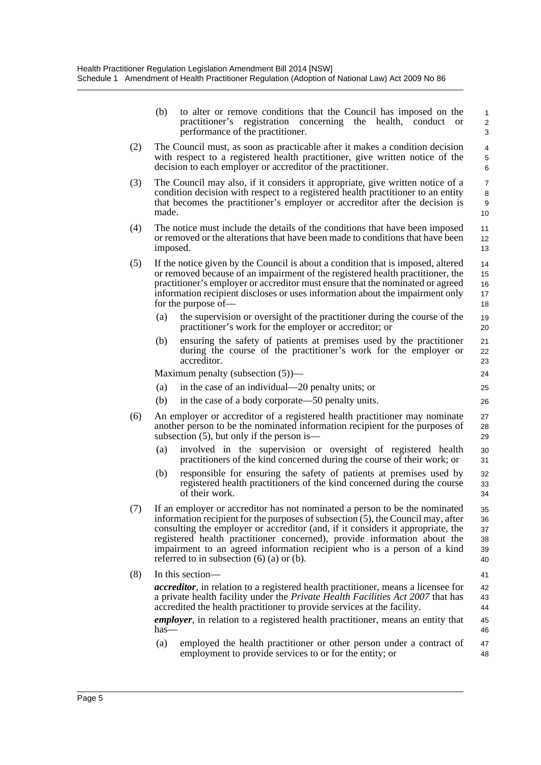|     | (b)                                                                                                                                                                                                                                                                                                                                                                                                                                                           | to alter or remove conditions that the Council has imposed on the<br>practitioner's<br>registration<br>concerning<br>the<br>health,<br>conduct<br><sub>or</sub><br>performance of the practitioner.                                                                                                                                                          | 1<br>$\overline{\mathbf{c}}$<br>3 |  |
|-----|---------------------------------------------------------------------------------------------------------------------------------------------------------------------------------------------------------------------------------------------------------------------------------------------------------------------------------------------------------------------------------------------------------------------------------------------------------------|--------------------------------------------------------------------------------------------------------------------------------------------------------------------------------------------------------------------------------------------------------------------------------------------------------------------------------------------------------------|-----------------------------------|--|
| (2) | The Council must, as soon as practicable after it makes a condition decision<br>with respect to a registered health practitioner, give written notice of the<br>decision to each employer or accreditor of the practitioner.                                                                                                                                                                                                                                  |                                                                                                                                                                                                                                                                                                                                                              |                                   |  |
| (3) | The Council may also, if it considers it appropriate, give written notice of a<br>condition decision with respect to a registered health practitioner to an entity<br>that becomes the practitioner's employer or accreditor after the decision is<br>made.                                                                                                                                                                                                   |                                                                                                                                                                                                                                                                                                                                                              |                                   |  |
| (4) | The notice must include the details of the conditions that have been imposed<br>or removed or the alterations that have been made to conditions that have been<br>imposed.                                                                                                                                                                                                                                                                                    |                                                                                                                                                                                                                                                                                                                                                              |                                   |  |
| (5) |                                                                                                                                                                                                                                                                                                                                                                                                                                                               | If the notice given by the Council is about a condition that is imposed, altered<br>or removed because of an impairment of the registered health practitioner, the<br>practitioner's employer or accreditor must ensure that the nominated or agreed<br>information recipient discloses or uses information about the impairment only<br>for the purpose of— | 14<br>15<br>16<br>17<br>18        |  |
|     | (a)                                                                                                                                                                                                                                                                                                                                                                                                                                                           | the supervision or oversight of the practitioner during the course of the<br>practitioner's work for the employer or accreditor; or                                                                                                                                                                                                                          | 19<br>20                          |  |
|     | (b)                                                                                                                                                                                                                                                                                                                                                                                                                                                           | ensuring the safety of patients at premises used by the practitioner<br>during the course of the practitioner's work for the employer or<br>accreditor.                                                                                                                                                                                                      | 21<br>22<br>23                    |  |
|     |                                                                                                                                                                                                                                                                                                                                                                                                                                                               | Maximum penalty (subsection $(5)$ )—                                                                                                                                                                                                                                                                                                                         | 24                                |  |
|     | (a)                                                                                                                                                                                                                                                                                                                                                                                                                                                           | in the case of an individual—20 penalty units; or                                                                                                                                                                                                                                                                                                            | 25                                |  |
|     | (b)                                                                                                                                                                                                                                                                                                                                                                                                                                                           | in the case of a body corporate—50 penalty units.                                                                                                                                                                                                                                                                                                            | 26                                |  |
| (6) |                                                                                                                                                                                                                                                                                                                                                                                                                                                               | An employer or accreditor of a registered health practitioner may nominate<br>another person to be the nominated information recipient for the purposes of<br>subsection $(5)$ , but only if the person is—                                                                                                                                                  | 27<br>28<br>29                    |  |
|     | (a)                                                                                                                                                                                                                                                                                                                                                                                                                                                           | involved in the supervision or oversight of registered health<br>practitioners of the kind concerned during the course of their work; or                                                                                                                                                                                                                     | 30<br>31                          |  |
|     | (b)                                                                                                                                                                                                                                                                                                                                                                                                                                                           | responsible for ensuring the safety of patients at premises used by<br>registered health practitioners of the kind concerned during the course<br>of their work.                                                                                                                                                                                             | 32<br>33<br>34                    |  |
| (7) | If an employer or accreditor has not nominated a person to be the nominated<br>information recipient for the purposes of subsection (5), the Council may, after<br>consulting the employer or accreditor (and, if it considers it appropriate, the<br>registered health practitioner concerned), provide information about the<br>impairment to an agreed information recipient who is a person of a kind<br>referred to in subsection $(6)$ $(a)$ or $(b)$ . |                                                                                                                                                                                                                                                                                                                                                              |                                   |  |
| (8) | In this section—                                                                                                                                                                                                                                                                                                                                                                                                                                              |                                                                                                                                                                                                                                                                                                                                                              |                                   |  |
|     | <i>accreditor</i> , in relation to a registered health practitioner, means a licensee for<br>a private health facility under the Private Health Facilities Act 2007 that has<br>accredited the health practitioner to provide services at the facility.                                                                                                                                                                                                       |                                                                                                                                                                                                                                                                                                                                                              |                                   |  |
|     | <i>employer</i> , in relation to a registered health practitioner, means an entity that<br>$has-$                                                                                                                                                                                                                                                                                                                                                             |                                                                                                                                                                                                                                                                                                                                                              |                                   |  |
|     | (a)                                                                                                                                                                                                                                                                                                                                                                                                                                                           | employed the health practitioner or other person under a contract of<br>employment to provide services to or for the entity; or                                                                                                                                                                                                                              | 47<br>48                          |  |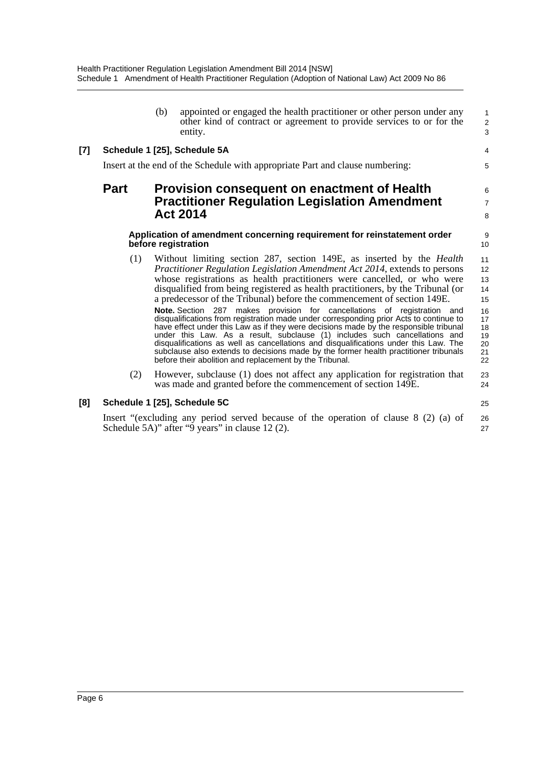|     |             | (b) | appointed or engaged the health practitioner or other person under any<br>other kind of contract or agreement to provide services to or for the<br>entity.                                                                                                                                                                                                                                                                                                                                                                                                                          | 1<br>$\begin{array}{c} 2 \\ 3 \end{array}$ |
|-----|-------------|-----|-------------------------------------------------------------------------------------------------------------------------------------------------------------------------------------------------------------------------------------------------------------------------------------------------------------------------------------------------------------------------------------------------------------------------------------------------------------------------------------------------------------------------------------------------------------------------------------|--------------------------------------------|
| [7] |             |     | Schedule 1 [25], Schedule 5A                                                                                                                                                                                                                                                                                                                                                                                                                                                                                                                                                        | $\overline{4}$                             |
|     |             |     | Insert at the end of the Schedule with appropriate Part and clause numbering:                                                                                                                                                                                                                                                                                                                                                                                                                                                                                                       | 5                                          |
|     | <b>Part</b> |     | <b>Provision consequent on enactment of Health</b><br><b>Practitioner Regulation Legislation Amendment</b><br><b>Act 2014</b>                                                                                                                                                                                                                                                                                                                                                                                                                                                       | 6<br>$\overline{7}$<br>8                   |
|     |             |     | Application of amendment concerning requirement for reinstatement order<br>before registration                                                                                                                                                                                                                                                                                                                                                                                                                                                                                      | 9<br>10                                    |
|     | (1)         |     | Without limiting section 287, section 149E, as inserted by the <i>Health</i><br>Practitioner Regulation Legislation Amendment Act 2014, extends to persons<br>whose registrations as health practitioners were cancelled, or who were<br>disqualified from being registered as health practitioners, by the Tribunal (or<br>a predecessor of the Tribunal) before the commencement of section 149E.                                                                                                                                                                                 | 11<br>12<br>13<br>14<br>15                 |
|     |             |     | Note. Section 287 makes provision for cancellations of registration and<br>disqualifications from registration made under corresponding prior Acts to continue to<br>have effect under this Law as if they were decisions made by the responsible tribunal<br>under this Law. As a result, subclause (1) includes such cancellations and<br>disqualifications as well as cancellations and disqualifications under this Law. The<br>subclause also extends to decisions made by the former health practitioner tribunals<br>before their abolition and replacement by the Tribunal. | 16<br>17<br>18<br>19<br>20<br>21<br>22     |
|     | (2)         |     | However, subclause (1) does not affect any application for registration that<br>was made and granted before the commencement of section 149E.                                                                                                                                                                                                                                                                                                                                                                                                                                       | 23<br>24                                   |
|     |             |     |                                                                                                                                                                                                                                                                                                                                                                                                                                                                                                                                                                                     |                                            |

### **[8] Schedule 1 [25], Schedule 5C**

Insert "(excluding any period served because of the operation of clause 8 (2) (a) of Schedule 5A)" after "9 years" in clause 12 (2). 26 27

25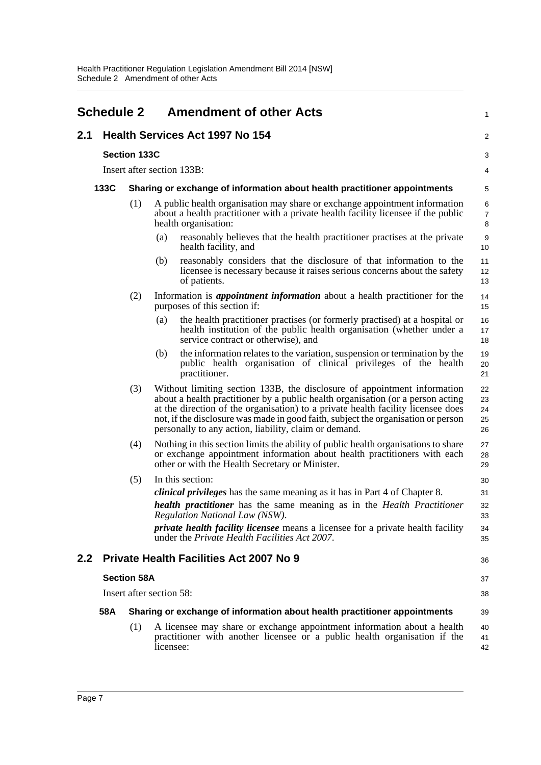<span id="page-10-0"></span>

| <b>Schedule 2</b><br><b>Amendment of other Acts</b> |                                                                                                                                                                                                |                            |                                                                                                                                                                                                                                                                                                                                                                                               |                                  |  |
|-----------------------------------------------------|------------------------------------------------------------------------------------------------------------------------------------------------------------------------------------------------|----------------------------|-----------------------------------------------------------------------------------------------------------------------------------------------------------------------------------------------------------------------------------------------------------------------------------------------------------------------------------------------------------------------------------------------|----------------------------------|--|
| 2.1                                                 | <b>Health Services Act 1997 No 154</b>                                                                                                                                                         |                            |                                                                                                                                                                                                                                                                                                                                                                                               |                                  |  |
|                                                     |                                                                                                                                                                                                | <b>Section 133C</b>        |                                                                                                                                                                                                                                                                                                                                                                                               | 3                                |  |
|                                                     |                                                                                                                                                                                                | Insert after section 133B: |                                                                                                                                                                                                                                                                                                                                                                                               |                                  |  |
|                                                     | 133C<br>Sharing or exchange of information about health practitioner appointments                                                                                                              |                            |                                                                                                                                                                                                                                                                                                                                                                                               | 5                                |  |
|                                                     | (1)<br>A public health organisation may share or exchange appointment information<br>about a health practitioner with a private health facility licensee if the public<br>health organisation: |                            |                                                                                                                                                                                                                                                                                                                                                                                               | 6<br>$\overline{7}$<br>8         |  |
|                                                     |                                                                                                                                                                                                |                            | reasonably believes that the health practitioner practises at the private<br>(a)<br>health facility, and                                                                                                                                                                                                                                                                                      | 9<br>10                          |  |
|                                                     |                                                                                                                                                                                                |                            | reasonably considers that the disclosure of that information to the<br>(b)<br>licensee is necessary because it raises serious concerns about the safety<br>of patients.                                                                                                                                                                                                                       | 11<br>12<br>13                   |  |
|                                                     |                                                                                                                                                                                                | (2)                        | Information is <i>appointment information</i> about a health practitioner for the<br>purposes of this section if:                                                                                                                                                                                                                                                                             | 14<br>15                         |  |
|                                                     |                                                                                                                                                                                                |                            | the health practitioner practises (or formerly practised) at a hospital or<br>(a)<br>health institution of the public health organisation (whether under a<br>service contract or otherwise), and                                                                                                                                                                                             | 16<br>17<br>18                   |  |
|                                                     |                                                                                                                                                                                                |                            | the information relates to the variation, suspension or termination by the<br>(b)<br>public health organisation of clinical privileges of the health<br>practitioner.                                                                                                                                                                                                                         | 19<br>20<br>21                   |  |
|                                                     |                                                                                                                                                                                                | (3)                        | Without limiting section 133B, the disclosure of appointment information<br>about a health practitioner by a public health organisation (or a person acting<br>at the direction of the organisation) to a private health facility licensee does<br>not, if the disclosure was made in good faith, subject the organisation or person<br>personally to any action, liability, claim or demand. | 22<br>23<br>24<br>25<br>26       |  |
|                                                     |                                                                                                                                                                                                | (4)                        | Nothing in this section limits the ability of public health organisations to share<br>or exchange appointment information about health practitioners with each<br>other or with the Health Secretary or Minister.                                                                                                                                                                             | 27<br>28<br>29                   |  |
|                                                     |                                                                                                                                                                                                | (5)                        | In this section:<br><i>clinical privileges</i> has the same meaning as it has in Part 4 of Chapter 8.<br>health practitioner has the same meaning as in the Health Practitioner<br>Regulation National Law (NSW).<br><i>private health facility licensee</i> means a licensee for a private health facility<br>under the <i>Private Health Facilities Act 2007</i> .                          | 30<br>31<br>32<br>33<br>34<br>35 |  |
| 2.2                                                 |                                                                                                                                                                                                |                            | <b>Private Health Facilities Act 2007 No 9</b>                                                                                                                                                                                                                                                                                                                                                | 36                               |  |
|                                                     | <b>Section 58A</b>                                                                                                                                                                             |                            |                                                                                                                                                                                                                                                                                                                                                                                               | 37                               |  |
|                                                     | Insert after section 58:                                                                                                                                                                       |                            |                                                                                                                                                                                                                                                                                                                                                                                               | 38                               |  |
|                                                     | 58A<br>Sharing or exchange of information about health practitioner appointments                                                                                                               |                            |                                                                                                                                                                                                                                                                                                                                                                                               | 39                               |  |
|                                                     |                                                                                                                                                                                                | (1)                        | A licensee may share or exchange appointment information about a health<br>practitioner with another licensee or a public health organisation if the<br>licensee:                                                                                                                                                                                                                             | 40<br>41<br>42                   |  |